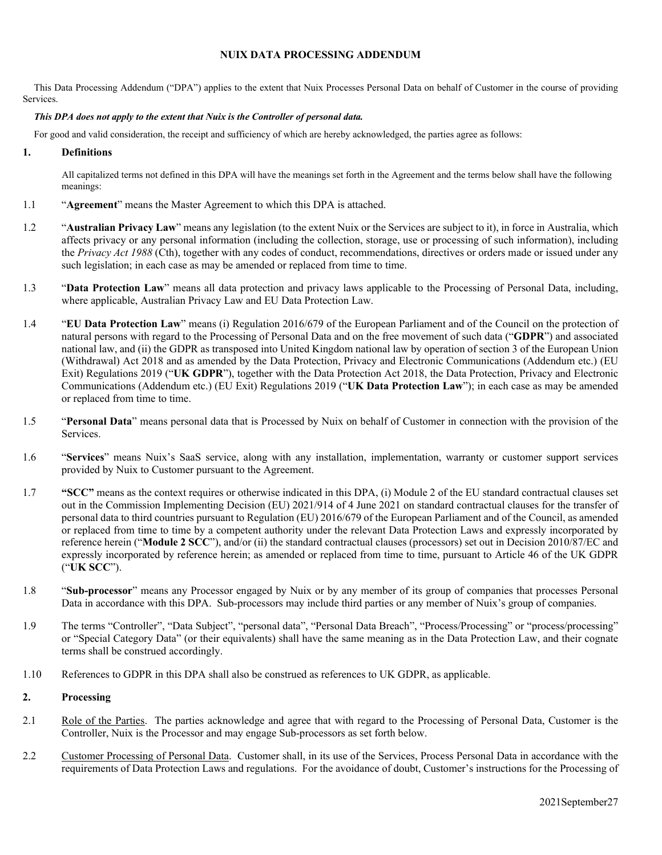### **NUIX DATA PROCESSING ADDENDUM**

This Data Processing Addendum ("DPA") applies to the extent that Nuix Processes Personal Data on behalf of Customer in the course of providing Services.

#### *This DPA does not apply to the extent that Nuix is the Controller of personal data.*

For good and valid consideration, the receipt and sufficiency of which are hereby acknowledged, the parties agree as follows:

### **1. Definitions**

All capitalized terms not defined in this DPA will have the meanings set forth in the Agreement and the terms below shall have the following meanings:

- 1.1 "**Agreement**" means the Master Agreement to which this DPA is attached.
- 1.2 "**Australian Privacy Law**" means any legislation (to the extent Nuix or the Services are subject to it), in force in Australia, which affects privacy or any personal information (including the collection, storage, use or processing of such information), including the *Privacy Act 1988* (Cth), together with any codes of conduct, recommendations, directives or orders made or issued under any such legislation; in each case as may be amended or replaced from time to time.
- 1.3 "**Data Protection Law**" means all data protection and privacy laws applicable to the Processing of Personal Data, including, where applicable, Australian Privacy Law and EU Data Protection Law.
- 1.4 "**EU Data Protection Law**" means (i) Regulation 2016/679 of the European Parliament and of the Council on the protection of natural persons with regard to the Processing of Personal Data and on the free movement of such data ("**GDPR**") and associated national law, and (ii) the GDPR as transposed into United Kingdom national law by operation of section 3 of the European Union (Withdrawal) Act 2018 and as amended by the Data Protection, Privacy and Electronic Communications (Addendum etc.) (EU Exit) Regulations 2019 ("**UK GDPR**"), together with the Data Protection Act 2018, the Data Protection, Privacy and Electronic Communications (Addendum etc.) (EU Exit) Regulations 2019 ("**UK Data Protection Law**"); in each case as may be amended or replaced from time to time.
- 1.5 "**Personal Data**" means personal data that is Processed by Nuix on behalf of Customer in connection with the provision of the Services.
- 1.6 "**Services**" means Nuix's SaaS service, along with any installation, implementation, warranty or customer support services provided by Nuix to Customer pursuant to the Agreement.
- 1.7 **"SCC"** means as the context requires or otherwise indicated in this DPA, (i) Module 2 of the EU standard contractual clauses set out in the Commission Implementing Decision (EU) 2021/914 of 4 [June 2021 on standard contractual clauses for the transfer of](https://eur-lex.europa.eu/legal-content/EN/AUTO/?uri=uriserv:OJ.L_.2021.199.01.0031.01.ENG&toc=OJ:L:2021:199:TOC)  [personal data to third countries pursuant to Regulation \(EU\) 2016/679 of the European Parliament and of the Council](https://eur-lex.europa.eu/legal-content/EN/AUTO/?uri=uriserv:OJ.L_.2021.199.01.0031.01.ENG&toc=OJ:L:2021:199:TOC), as amended or replaced from time to time by a competent authority under the relevant Data Protection Laws and expressly incorporated by reference herein ("**Module 2 SCC**"), and/or (ii) the standard contractual clauses (processors) set out in Decision 2010/87/EC and expressly incorporated by reference herein; as amended or replaced from time to time, pursuant to Article 46 of the UK GDPR ("**UK SCC**").
- 1.8 "**Sub-processor**" means any Processor engaged by Nuix or by any member of its group of companies that processes Personal Data in accordance with this DPA. Sub-processors may include third parties or any member of Nuix's group of companies.
- 1.9 The terms "Controller", "Data Subject", "personal data", "Personal Data Breach", "Process/Processing" or "process/processing" or "Special Category Data" (or their equivalents) shall have the same meaning as in the Data Protection Law, and their cognate terms shall be construed accordingly.
- 1.10 References to GDPR in this DPA shall also be construed as references to UK GDPR, as applicable.

#### **2. Processing**

- 2.1 Role of the Parties. The parties acknowledge and agree that with regard to the Processing of Personal Data, Customer is the Controller, Nuix is the Processor and may engage Sub-processors as set forth below.
- 2.2 Customer Processing of Personal Data. Customer shall, in its use of the Services, Process Personal Data in accordance with the requirements of Data Protection Laws and regulations. For the avoidance of doubt, Customer's instructions for the Processing of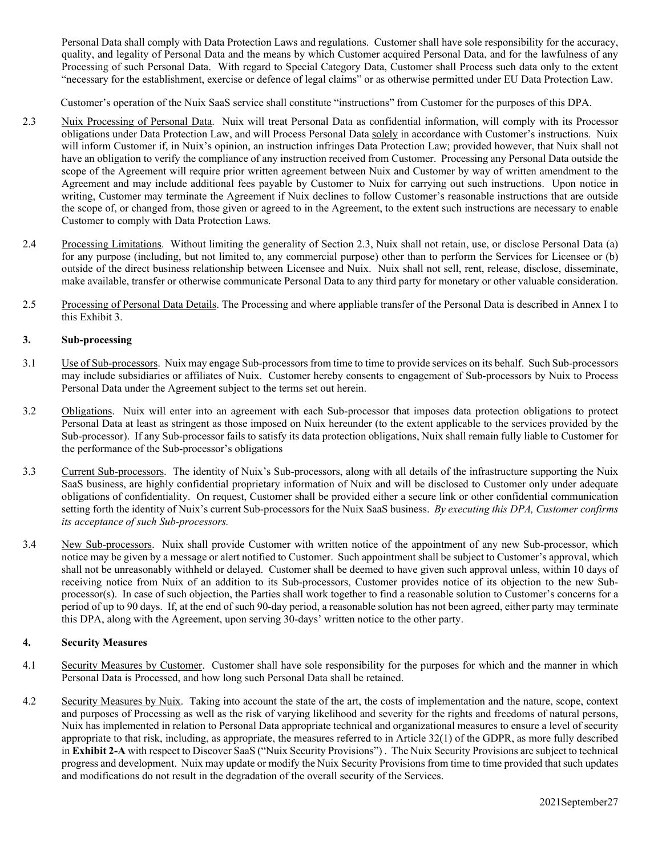Personal Data shall comply with Data Protection Laws and regulations. Customer shall have sole responsibility for the accuracy, quality, and legality of Personal Data and the means by which Customer acquired Personal Data, and for the lawfulness of any Processing of such Personal Data. With regard to Special Category Data, Customer shall Process such data only to the extent "necessary for the establishment, exercise or defence of legal claims" or as otherwise permitted under EU Data Protection Law.

Customer's operation of the Nuix SaaS service shall constitute "instructions" from Customer for the purposes of this DPA.

- 2.3 Nuix Processing of Personal Data. Nuix will treat Personal Data as confidential information, will comply with its Processor obligations under Data Protection Law, and will Process Personal Data solely in accordance with Customer's instructions. Nuix will inform Customer if, in Nuix's opinion, an instruction infringes Data Protection Law; provided however, that Nuix shall not have an obligation to verify the compliance of any instruction received from Customer. Processing any Personal Data outside the scope of the Agreement will require prior written agreement between Nuix and Customer by way of written amendment to the Agreement and may include additional fees payable by Customer to Nuix for carrying out such instructions. Upon notice in writing, Customer may terminate the Agreement if Nuix declines to follow Customer's reasonable instructions that are outside the scope of, or changed from, those given or agreed to in the Agreement, to the extent such instructions are necessary to enable Customer to comply with Data Protection Laws.
- 2.4 Processing Limitations. Without limiting the generality of Section 2.3, Nuix shall not retain, use, or disclose Personal Data (a) for any purpose (including, but not limited to, any commercial purpose) other than to perform the Services for Licensee or (b) outside of the direct business relationship between Licensee and Nuix. Nuix shall not sell, rent, release, disclose, disseminate, make available, transfer or otherwise communicate Personal Data to any third party for monetary or other valuable consideration.
- 2.5 Processing of Personal Data Details. The Processing and where appliable transfer of the Personal Data is described in Annex I to this Exhibit 3.

### **3. Sub-processing**

- 3.1 Use of Sub-processors. Nuix may engage Sub-processors from time to time to provide services on its behalf. Such Sub-processors may include subsidiaries or affiliates of Nuix. Customer hereby consents to engagement of Sub-processors by Nuix to Process Personal Data under the Agreement subject to the terms set out herein.
- 3.2 Obligations. Nuix will enter into an agreement with each Sub-processor that imposes data protection obligations to protect Personal Data at least as stringent as those imposed on Nuix hereunder (to the extent applicable to the services provided by the Sub-processor). If any Sub-processor fails to satisfy its data protection obligations, Nuix shall remain fully liable to Customer for the performance of the Sub-processor's obligations
- 3.3 Current Sub-processors. The identity of Nuix's Sub-processors, along with all details of the infrastructure supporting the Nuix SaaS business, are highly confidential proprietary information of Nuix and will be disclosed to Customer only under adequate obligations of confidentiality. On request, Customer shall be provided either a secure link or other confidential communication setting forth the identity of Nuix's current Sub-processors for the Nuix SaaS business. *By executing this DPA, Customer confirms its acceptance of such Sub-processors.*
- 3.4 New Sub-processors. Nuix shall provide Customer with written notice of the appointment of any new Sub-processor, which notice may be given by a message or alert notified to Customer. Such appointment shall be subject to Customer's approval, which shall not be unreasonably withheld or delayed. Customer shall be deemed to have given such approval unless, within 10 days of receiving notice from Nuix of an addition to its Sub-processors, Customer provides notice of its objection to the new Subprocessor(s). In case of such objection, the Parties shall work together to find a reasonable solution to Customer's concerns for a period of up to 90 days. If, at the end of such 90-day period, a reasonable solution has not been agreed, either party may terminate this DPA, along with the Agreement, upon serving 30-days' written notice to the other party.

# **4. Security Measures**

- 4.1 Security Measures by Customer. Customer shall have sole responsibility for the purposes for which and the manner in which Personal Data is Processed, and how long such Personal Data shall be retained.
- 4.2 Security Measures by Nuix. Taking into account the state of the art, the costs of implementation and the nature, scope, context and purposes of Processing as well as the risk of varying likelihood and severity for the rights and freedoms of natural persons, Nuix has implemented in relation to Personal Data appropriate technical and organizational measures to ensure a level of security appropriate to that risk, including, as appropriate, the measures referred to in Article 32(1) of the GDPR, as more fully described in **Exhibit 2-A** with respect to Discover SaaS ("Nuix Security Provisions") . The Nuix Security Provisions are subject to technical progress and development. Nuix may update or modify the Nuix Security Provisions from time to time provided that such updates and modifications do not result in the degradation of the overall security of the Services.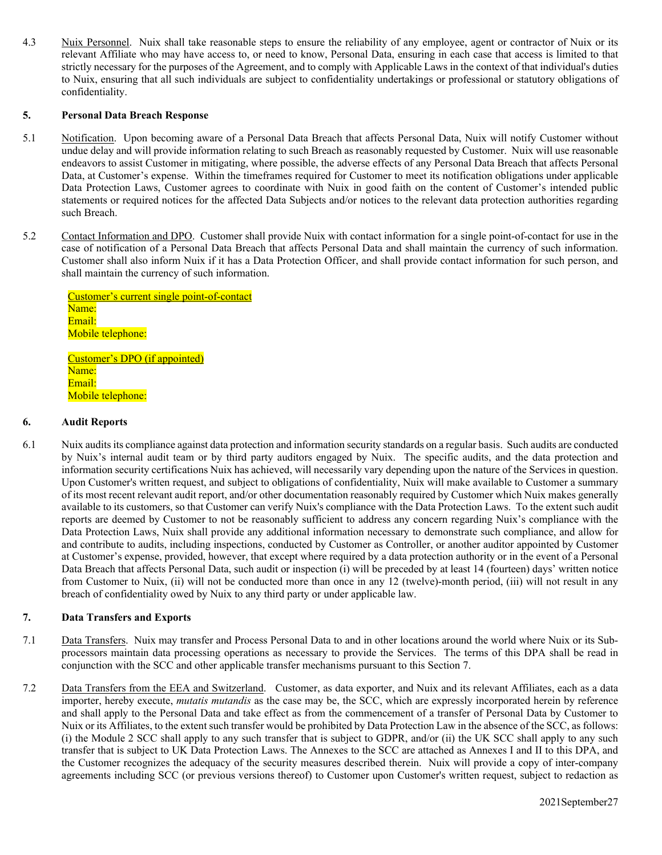4.3 Nuix Personnel. Nuix shall take reasonable steps to ensure the reliability of any employee, agent or contractor of Nuix or its relevant Affiliate who may have access to, or need to know, Personal Data, ensuring in each case that access is limited to that strictly necessary for the purposes of the Agreement, and to comply with Applicable Laws in the context of that individual's duties to Nuix, ensuring that all such individuals are subject to confidentiality undertakings or professional or statutory obligations of confidentiality.

### **5. Personal Data Breach Response**

- 5.1 Notification. Upon becoming aware of a Personal Data Breach that affects Personal Data, Nuix will notify Customer without undue delay and will provide information relating to such Breach as reasonably requested by Customer. Nuix will use reasonable endeavors to assist Customer in mitigating, where possible, the adverse effects of any Personal Data Breach that affects Personal Data, at Customer's expense. Within the timeframes required for Customer to meet its notification obligations under applicable Data Protection Laws, Customer agrees to coordinate with Nuix in good faith on the content of Customer's intended public statements or required notices for the affected Data Subjects and/or notices to the relevant data protection authorities regarding such Breach.
- 5.2 Contact Information and DPO. Customer shall provide Nuix with contact information for a single point-of-contact for use in the case of notification of a Personal Data Breach that affects Personal Data and shall maintain the currency of such information. Customer shall also inform Nuix if it has a Data Protection Officer, and shall provide contact information for such person, and shall maintain the currency of such information.

Customer's current single point-of-contact Name: Email: Mobile telephone:

Customer's DPO (if appointed) Name: Email: Mobile telephone:

#### **6. Audit Reports**

6.1 Nuix audits its compliance against data protection and information security standards on a regular basis. Such audits are conducted by Nuix's internal audit team or by third party auditors engaged by Nuix. The specific audits, and the data protection and information security certifications Nuix has achieved, will necessarily vary depending upon the nature of the Services in question. Upon Customer's written request, and subject to obligations of confidentiality, Nuix will make available to Customer a summary of its most recent relevant audit report, and/or other documentation reasonably required by Customer which Nuix makes generally available to its customers, so that Customer can verify Nuix's compliance with the Data Protection Laws. To the extent such audit reports are deemed by Customer to not be reasonably sufficient to address any concern regarding Nuix's compliance with the Data Protection Laws, Nuix shall provide any additional information necessary to demonstrate such compliance, and allow for and contribute to audits, including inspections, conducted by Customer as Controller, or another auditor appointed by Customer at Customer's expense, provided, however, that except where required by a data protection authority or in the event of a Personal Data Breach that affects Personal Data, such audit or inspection (i) will be preceded by at least 14 (fourteen) days' written notice from Customer to Nuix, (ii) will not be conducted more than once in any 12 (twelve)-month period, (iii) will not result in any breach of confidentiality owed by Nuix to any third party or under applicable law.

# **7. Data Transfers and Exports**

- 7.1 Data Transfers. Nuix may transfer and Process Personal Data to and in other locations around the world where Nuix or its Subprocessors maintain data processing operations as necessary to provide the Services. The terms of this DPA shall be read in conjunction with the SCC and other applicable transfer mechanisms pursuant to this Section 7.
- 7.2 Data Transfers from the EEA and Switzerland. Customer, as data exporter, and Nuix and its relevant Affiliates, each as a data importer, hereby execute, *mutatis mutandis* as the case may be, the SCC, which are expressly incorporated herein by reference and shall apply to the Personal Data and take effect as from the commencement of a transfer of Personal Data by Customer to Nuix or its Affiliates, to the extent such transfer would be prohibited by Data Protection Law in the absence of the SCC, as follows: (i) the Module 2 SCC shall apply to any such transfer that is subject to GDPR, and/or (ii) the UK SCC shall apply to any such transfer that is subject to UK Data Protection Laws. The Annexes to the SCC are attached as Annexes I and II to this DPA, and the Customer recognizes the adequacy of the security measures described therein. Nuix will provide a copy of inter-company agreements including SCC (or previous versions thereof) to Customer upon Customer's written request, subject to redaction as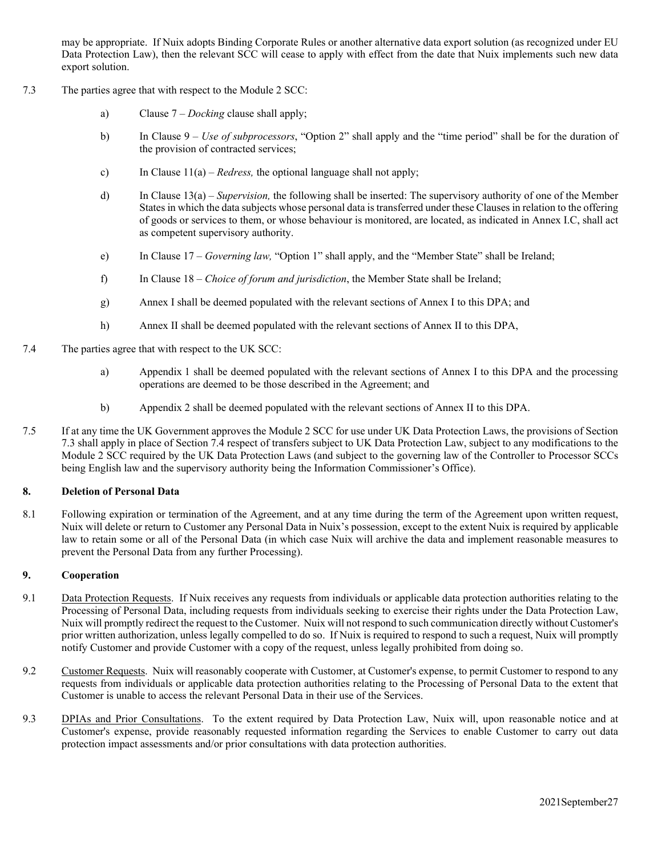may be appropriate. If Nuix adopts Binding Corporate Rules or another alternative data export solution (as recognized under EU Data Protection Law), then the relevant SCC will cease to apply with effect from the date that Nuix implements such new data export solution.

- 7.3 The parties agree that with respect to the Module 2 SCC:
	- a) Clause 7 *Docking* clause shall apply;
	- b) In Clause 9 *Use of subprocessors*, "Option 2" shall apply and the "time period" shall be for the duration of the provision of contracted services;
	- c) In Clause 11(a) *Redress,* the optional language shall not apply;
	- d) In Clause 13(a) *Supervision,* the following shall be inserted: The supervisory authority of one of the Member States in which the data subjects whose personal data is transferred under these Clauses in relation to the offering of goods or services to them, or whose behaviour is monitored, are located, as indicated in Annex I.C, shall act as competent supervisory authority.
	- e) In Clause 17 *Governing law,* "Option 1" shall apply, and the "Member State" shall be Ireland;
	- f) In Clause 18 *Choice of forum and jurisdiction*, the Member State shall be Ireland;
	- g) Annex I shall be deemed populated with the relevant sections of Annex I to this DPA; and
	- h) Annex II shall be deemed populated with the relevant sections of Annex II to this DPA,
- 7.4 The parties agree that with respect to the UK SCC:
	- a) Appendix 1 shall be deemed populated with the relevant sections of Annex I to this DPA and the processing operations are deemed to be those described in the Agreement; and
	- b) Appendix 2 shall be deemed populated with the relevant sections of Annex II to this DPA.
- 7.5 If at any time the UK Government approves the Module 2 SCC for use under UK Data Protection Laws, the provisions of Section 7.3 shall apply in place of Section 7.4 respect of transfers subject to UK Data Protection Law, subject to any modifications to the Module 2 SCC required by the UK Data Protection Laws (and subject to the governing law of the Controller to Processor SCCs being English law and the supervisory authority being the Information Commissioner's Office).

#### **8. Deletion of Personal Data**

8.1 Following expiration or termination of the Agreement, and at any time during the term of the Agreement upon written request, Nuix will delete or return to Customer any Personal Data in Nuix's possession, except to the extent Nuix is required by applicable law to retain some or all of the Personal Data (in which case Nuix will archive the data and implement reasonable measures to prevent the Personal Data from any further Processing).

## **9. Cooperation**

- 9.1 Data Protection Requests. If Nuix receives any requests from individuals or applicable data protection authorities relating to the Processing of Personal Data, including requests from individuals seeking to exercise their rights under the Data Protection Law, Nuix will promptly redirect the request to the Customer. Nuix will not respond to such communication directly without Customer's prior written authorization, unless legally compelled to do so. If Nuix is required to respond to such a request, Nuix will promptly notify Customer and provide Customer with a copy of the request, unless legally prohibited from doing so.
- 9.2 Customer Requests. Nuix will reasonably cooperate with Customer, at Customer's expense, to permit Customer to respond to any requests from individuals or applicable data protection authorities relating to the Processing of Personal Data to the extent that Customer is unable to access the relevant Personal Data in their use of the Services.
- 9.3 DPIAs and Prior Consultations. To the extent required by Data Protection Law, Nuix will, upon reasonable notice and at Customer's expense, provide reasonably requested information regarding the Services to enable Customer to carry out data protection impact assessments and/or prior consultations with data protection authorities.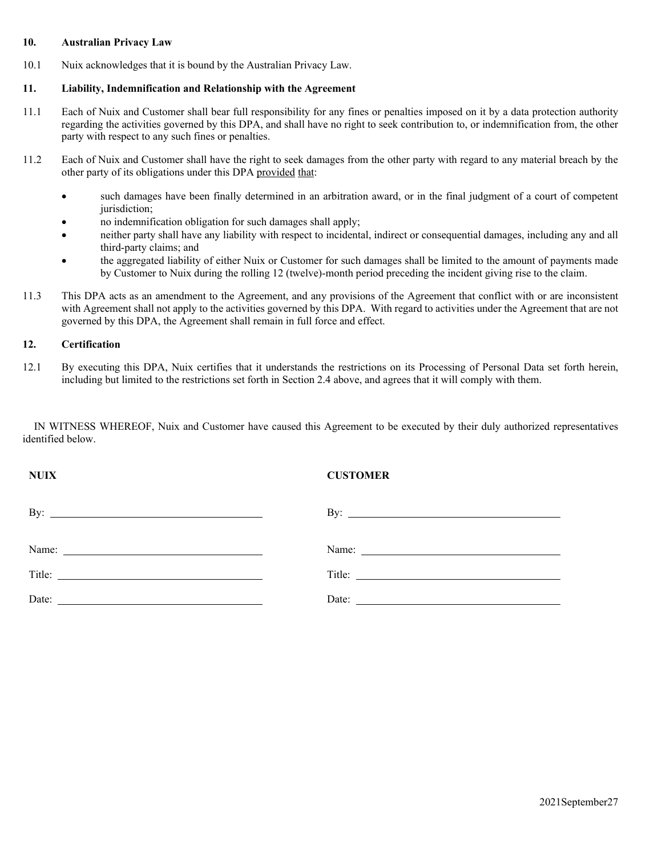# **10. Australian Privacy Law**

10.1 Nuix acknowledges that it is bound by the Australian Privacy Law.

# **11. Liability, Indemnification and Relationship with the Agreement**

- 11.1 Each of Nuix and Customer shall bear full responsibility for any fines or penalties imposed on it by a data protection authority regarding the activities governed by this DPA, and shall have no right to seek contribution to, or indemnification from, the other party with respect to any such fines or penalties.
- 11.2 Each of Nuix and Customer shall have the right to seek damages from the other party with regard to any material breach by the other party of its obligations under this DPA provided that:
	- such damages have been finally determined in an arbitration award, or in the final judgment of a court of competent jurisdiction;
	- no indemnification obligation for such damages shall apply;
	- neither party shall have any liability with respect to incidental, indirect or consequential damages, including any and all third-party claims; and
	- the aggregated liability of either Nuix or Customer for such damages shall be limited to the amount of payments made by Customer to Nuix during the rolling 12 (twelve)-month period preceding the incident giving rise to the claim.
- 11.3 This DPA acts as an amendment to the Agreement, and any provisions of the Agreement that conflict with or are inconsistent with Agreement shall not apply to the activities governed by this DPA. With regard to activities under the Agreement that are not governed by this DPA, the Agreement shall remain in full force and effect.

# **12. Certification**

12.1 By executing this DPA, Nuix certifies that it understands the restrictions on its Processing of Personal Data set forth herein, including but limited to the restrictions set forth in Section 2.4 above, and agrees that it will comply with them.

IN WITNESS WHEREOF, Nuix and Customer have caused this Agreement to be executed by their duly authorized representatives identified below.

| <b>NUIX</b>                                                                                                                                                                                                                                                                                                                                                                                                   | <b>CUSTOMER</b>     |
|---------------------------------------------------------------------------------------------------------------------------------------------------------------------------------------------------------------------------------------------------------------------------------------------------------------------------------------------------------------------------------------------------------------|---------------------|
| By: $\qquad \qquad$                                                                                                                                                                                                                                                                                                                                                                                           | By: $\qquad \qquad$ |
|                                                                                                                                                                                                                                                                                                                                                                                                               |                     |
|                                                                                                                                                                                                                                                                                                                                                                                                               |                     |
| Date: $\frac{1}{\sqrt{1-\frac{1}{2}}\sqrt{1-\frac{1}{2}}\sqrt{1-\frac{1}{2}}\sqrt{1-\frac{1}{2}}\sqrt{1-\frac{1}{2}}\sqrt{1-\frac{1}{2}}\sqrt{1-\frac{1}{2}}\sqrt{1-\frac{1}{2}}\sqrt{1-\frac{1}{2}}\sqrt{1-\frac{1}{2}}\sqrt{1-\frac{1}{2}}\sqrt{1-\frac{1}{2}}\sqrt{1-\frac{1}{2}}\sqrt{1-\frac{1}{2}}\sqrt{1-\frac{1}{2}}\sqrt{1-\frac{1}{2}}\sqrt{1-\frac{1}{2}}\sqrt{1-\frac{1}{2}}\sqrt{1-\frac{1}{2}}$ | Date:               |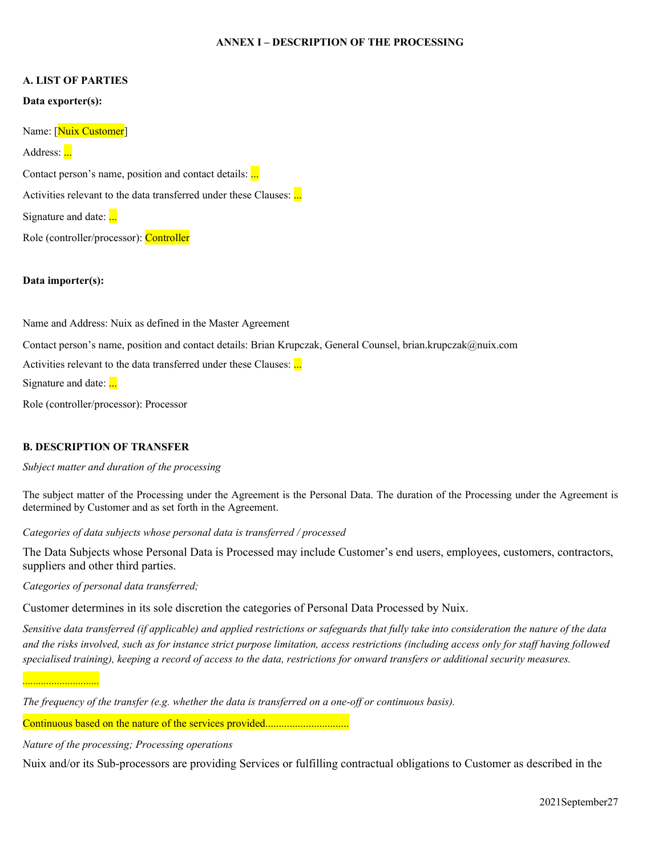### **ANNEX I – DESCRIPTION OF THE PROCESSING**

#### **A. LIST OF PARTIES**

#### **Data exporter(s):**

Name: [Nuix Customer]

Address: ...

Contact person's name, position and contact details: ...

Activities relevant to the data transferred under these Clauses: ...

Signature and date: ...

Role (controller/processor): Controller

### **Data importer(s):**

Name and Address: Nuix as defined in the Master Agreement

Contact person's name, position and contact details: Brian Krupczak, General Counsel, brian.krupczak@nuix.com

Activities relevant to the data transferred under these Clauses: ...

Signature and date: ...

Role (controller/processor): Processor

# **B. DESCRIPTION OF TRANSFER**

*Subject matter and duration of the processing*

The subject matter of the Processing under the Agreement is the Personal Data. The duration of the Processing under the Agreement is determined by Customer and as set forth in the Agreement.

*Categories of data subjects whose personal data is transferred / processed*

The Data Subjects whose Personal Data is Processed may include Customer's end users, employees, customers, contractors, suppliers and other third parties.

*Categories of personal data transferred;* 

Customer determines in its sole discretion the categories of Personal Data Processed by Nuix.

*Sensitive data transferred (if applicable) and applied restrictions or safeguards that fully take into consideration the nature of the data*  and the risks involved, such as for instance strict purpose limitation, access restrictions (including access only for staff having followed *specialised training), keeping a record of access to the data, restrictions for onward transfers or additional security measures.*

*.............................*

*The frequency of the transfer (e.g. whether the data is transferred on a one-off or continuous basis).*

Continuous based on the nature of the services provided................................

*Nature of the processing; Processing operations*

Nuix and/or its Sub-processors are providing Services or fulfilling contractual obligations to Customer as described in the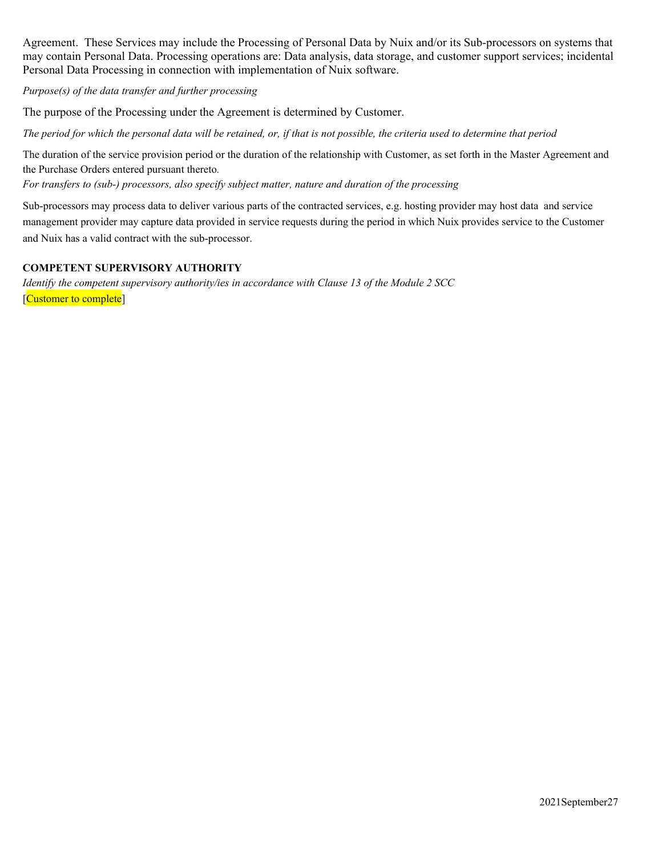Agreement. These Services may include the Processing of Personal Data by Nuix and/or its Sub-processors on systems that may contain Personal Data. Processing operations are: Data analysis, data storage, and customer support services; incidental Personal Data Processing in connection with implementation of Nuix software.

*Purpose(s) of the data transfer and further processing*

The purpose of the Processing under the Agreement is determined by Customer.

*The period for which the personal data will be retained, or, if that is not possible, the criteria used to determine that period*

The duration of the service provision period or the duration of the relationship with Customer, as set forth in the Master Agreement and the Purchase Orders entered pursuant thereto*.*

*For transfers to (sub-) processors, also specify subject matter, nature and duration of the processing*

Sub-processors may process data to deliver various parts of the contracted services, e.g. hosting provider may host data and service management provider may capture data provided in service requests during the period in which Nuix provides service to the Customer and Nuix has a valid contract with the sub-processor.

### **COMPETENT SUPERVISORY AUTHORITY**

*Identify the competent supervisory authority/ies in accordance with Clause 13 of the Module 2 SCC* [Customer to complete]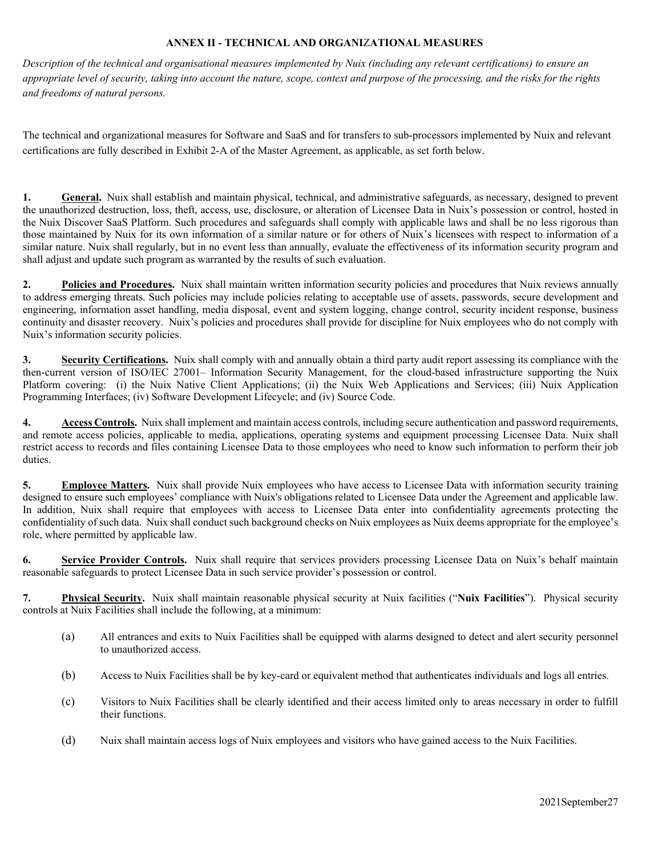## **ANNEX II - TECHNICAL AND ORGANI**Z**ATIONAL MEASURES**

*Description of the technical and organisational measures implemented by Nuix (including any relevant certifications) to ensure an appropriate level of security, taking into account the nature, scope, context and purpose of the processing, and the risks for the rights and freedoms of natural persons.*

The technical and organizational measures for Software and SaaS and for transfers to sub-processors implemented by Nuix and relevant certifications are fully described in Exhibit 2-A of the Master Agreement, as applicable, as set forth below.

**1. General.** Nuix shall establish and maintain physical, technical, and administrative safeguards, as necessary, designed to prevent the unauthorized destruction, loss, theft, access, use, disclosure, or alteration of Licensee Data in Nuix's possession or control, hosted in the Nuix Discover SaaS Platform. Such procedures and safeguards shall comply with applicable laws and shall be no less rigorous than those maintained by Nuix for its own information of a similar nature or for others of Nuix's licensees with respect to information of a similar nature. Nuix shall regularly, but in no event less than annually, evaluate the effectiveness of its information security program and shall adjust and update such program as warranted by the results of such evaluation.

**2. Policies and Procedures.** Nuix shall maintain written information security policies and procedures that Nuix reviews annually to address emerging threats. Such policies may include policies relating to acceptable use of assets, passwords, secure development and engineering, information asset handling, media disposal, event and system logging, change control, security incident response, business continuity and disaster recovery. Nuix's policies and procedures shall provide for discipline for Nuix employees who do not comply with Nuix's information security policies.

**3. Security Certifications.** Nuix shall comply with and annually obtain a third party audit report assessing its compliance with the then-current version of ISO/IEC 27001– Information Security Management, for the cloud-based infrastructure supporting the Nuix Platform covering: (i) the Nuix Native Client Applications; (ii) the Nuix Web Applications and Services; (iii) Nuix Application Programming Interfaces; (iv) Software Development Lifecycle; and (iv) Source Code.

**4. Access Controls.** Nuix shall implement and maintain access controls, including secure authentication and password requirements, and remote access policies, applicable to media, applications, operating systems and equipment processing Licensee Data. Nuix shall restrict access to records and files containing Licensee Data to those employees who need to know such information to perform their job duties.

**5. Employee Matters.** Nuix shall provide Nuix employees who have access to Licensee Data with information security training designed to ensure such employees' compliance with Nuix's obligations related to Licensee Data under the Agreement and applicable law. In addition, Nuix shall require that employees with access to Licensee Data enter into confidentiality agreements protecting the confidentiality of such data. Nuix shall conduct such background checks on Nuix employees as Nuix deems appropriate for the employee's role, where permitted by applicable law.

**6. Service Provider Controls.** Nuix shall require that services providers processing Licensee Data on Nuix's behalf maintain reasonable safeguards to protect Licensee Data in such service provider's possession or control.

**7. Physical Security.** Nuix shall maintain reasonable physical security at Nuix facilities ("**Nuix Facilities**"). Physical security controls at Nuix Facilities shall include the following, at a minimum:

- (a) All entrances and exits to Nuix Facilities shall be equipped with alarms designed to detect and alert security personnel to unauthorized access.
- (b) Access to Nuix Facilities shall be by key-card or equivalent method that authenticates individuals and logs all entries.
- (c) Visitors to Nuix Facilities shall be clearly identified and their access limited only to areas necessary in order to fulfill their functions.
- (d) Nuix shall maintain access logs of Nuix employees and visitors who have gained access to the Nuix Facilities.